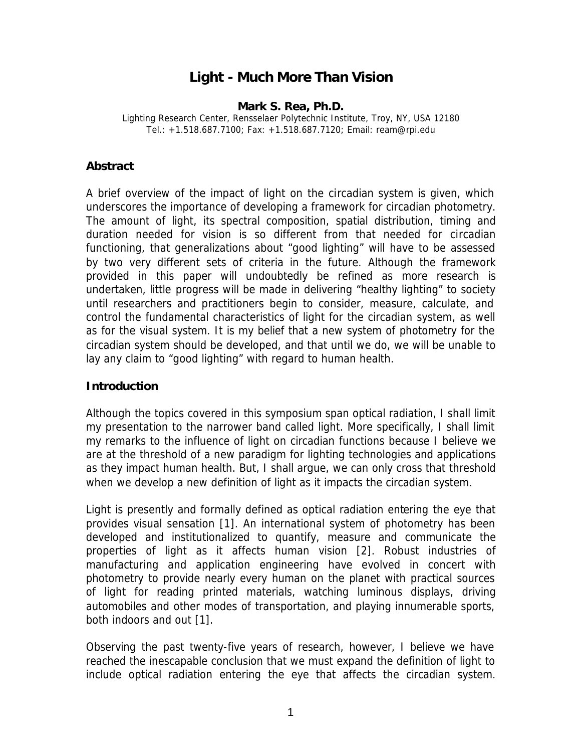# **Light - Much More Than Vision**

#### **Mark S. Rea, Ph.D.**

Lighting Research Center, Rensselaer Polytechnic Institute, Troy, NY, USA 12180 Tel.: +1.518.687.7100; Fax: +1.518.687.7120; Email: ream@rpi.edu

#### **Abstract**

A brief overview of the impact of light on the circadian system is given, which underscores the importance of developing a framework for circadian photometry. The amount of light, its spectral composition, spatial distribution, timing and duration needed for vision is so different from that needed for circadian functioning, that generalizations about "good lighting" will have to be assessed by two very different sets of criteria in the future. Although the framework provided in this paper will undoubtedly be refined as more research is undertaken, little progress will be made in delivering "healthy lighting" to society until researchers and practitioners begin to consider, measure, calculate, and control the fundamental characteristics of light for the circadian system, as well as for the visual system. It is my belief that a new system of photometry for the circadian system should be developed, and that until we do, we will be unable to lay any claim to "good lighting" with regard to human health.

## **Introduction**

Although the topics covered in this symposium span optical radiation, I shall limit my presentation to the narrower band called light. More specifically, I shall limit my remarks to the influence of light on circadian functions because I believe we are at the threshold of a new paradigm for lighting technologies and applications as they impact human health. But, I shall argue, we can only cross that threshold when we develop a new definition of light as it impacts the circadian system.

Light is presently and formally defined as optical radiation entering the eye that provides visual sensation [1]. An international system of photometry has been developed and institutionalized to quantify, measure and communicate the properties of light as it affects human vision [2]. Robust industries of manufacturing and application engineering have evolved in concert with photometry to provide nearly every human on the planet with practical sources of light for reading printed materials, watching luminous displays, driving automobiles and other modes of transportation, and playing innumerable sports, both indoors and out [1].

Observing the past twenty-five years of research, however, I believe we have reached the inescapable conclusion that we must expand the definition of light to include optical radiation entering the eye that affects the circadian system.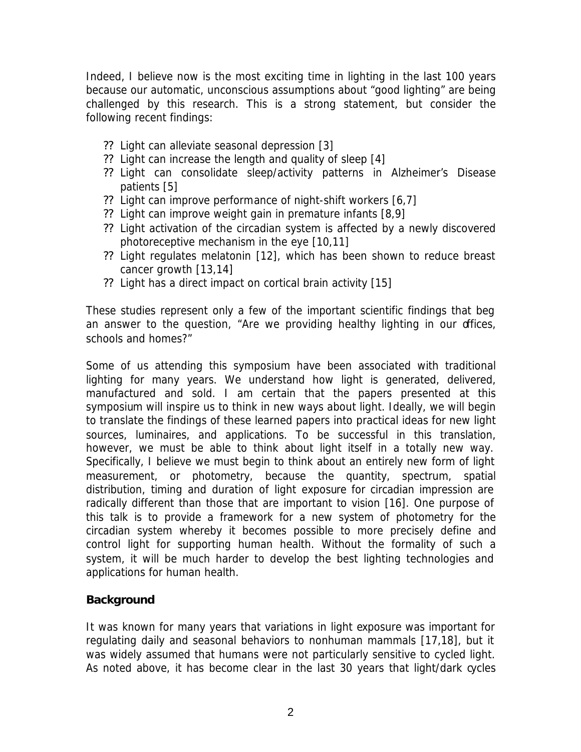Indeed, I believe *now* is the most exciting time in lighting in the last 100 years because our automatic, unconscious assumptions about "good lighting" are being challenged by this research. This is a strong statement, but consider the following recent findings:

- ?? Light can alleviate seasonal depression [3]
- ?? Light can increase the length and quality of sleep [4]
- ?? Light can consolidate sleep/activity patterns in Alzheimer's Disease patients [5]
- ?? Light can improve performance of night-shift workers [6,7]
- ?? Light can improve weight gain in premature infants [8,9]
- ?? Light activation of the circadian system is affected by a newly discovered photoreceptive mechanism in the eye [10,11]
- ?? Light regulates melatonin [12], which has been shown to reduce breast cancer growth [13,14]
- ?? Light has a direct impact on cortical brain activity [15]

These studies represent only a few of the important scientific findings that beg an answer to the question, "Are we providing healthy lighting in our offices, schools and homes?"

Some of us attending this symposium have been associated with traditional lighting for many years. We understand how light is generated, delivered, manufactured and sold. I am certain that the papers presented at this symposium will inspire us to think in new ways about light. Ideally, we will begin to translate the findings of these learned papers into practical ideas for new light sources, luminaires, and applications. To be successful in this translation, however, we must be able to think about light itself in a totally new way. Specifically, I believe we must begin to think about an entirely new form of light measurement, or photometry, because the quantity, spectrum, spatial distribution, timing and duration of light exposure for circadian impression are radically different than those that are important to vision [16]. One purpose of this talk is to provide a framework for a new system of photometry for the circadian system whereby it becomes possible to more precisely define and control light for supporting human health. Without the formality of such a system, it will be much harder to develop the best lighting technologies and applications for human health.

#### **Background**

It was known for many years that variations in light exposure was important for regulating daily and seasonal behaviors to nonhuman mammals [17,18], but it was widely assumed that humans were not particularly sensitive to cycled light. As noted above, it has become clear in the last 30 years that light/dark cycles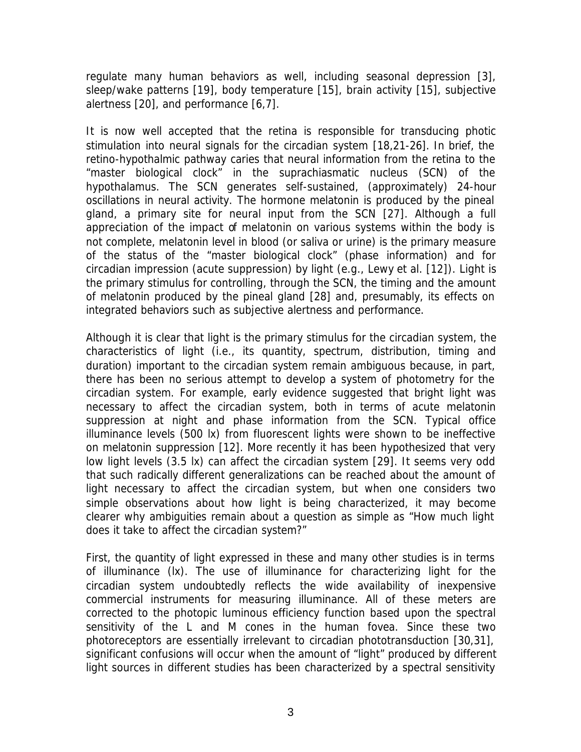regulate many human behaviors as well, including seasonal depression [3], sleep/wake patterns [19], body temperature [15], brain activity [15], subjective alertness [20], and performance [6,7].

It is now well accepted that the retina is responsible for transducing photic stimulation into neural signals for the circadian system [18,21-26]. In brief, the retino-hypothalmic pathway caries that neural information from the retina to the "master biological clock" in the suprachiasmatic nucleus (SCN) of the hypothalamus. The SCN generates self-sustained, (approximately) 24-hour oscillations in neural activity. The hormone melatonin is produced by the pineal gland, a primary site for neural input from the SCN [27]. Although a full appreciation of the impact of melatonin on various systems within the body is not complete, melatonin level in blood (or saliva or urine) is the primary measure of the status of the "master biological clock" (phase information) and for circadian impression (acute suppression) by light (e.g., Lewy *et al.* [12]). Light is the primary stimulus for controlling, through the SCN, the timing and the amount of melatonin produced by the pineal gland [28] and, presumably, its effects on integrated behaviors such as subjective alertness and performance.

Although it is clear that light is the primary stimulus for the circadian system, the characteristics of light (i.e., its quantity, spectrum, distribution, timing and duration) important to the circadian system remain ambiguous because, in part, there has been no serious attempt to develop a system of photometry for the circadian system. For example, early evidence suggested that bright light was necessary to affect the circadian system, both in terms of acute melatonin suppression at night and phase information from the SCN. Typical office illuminance levels (500 lx) from fluorescent lights were shown to be ineffective on melatonin suppression [12]. More recently it has been hypothesized that very low light levels (3.5 lx) can affect the circadian system [29]. It seems very odd that such radically different generalizations can be reached about the amount of light necessary to affect the circadian system, but when one considers two simple observations about how light is being characterized, it may become clearer why ambiguities remain about a question as simple as "How much light does it take to affect the circadian system?"

First, the quantity of light expressed in these and many other studies is in terms of illuminance (lx). The use of illuminance for characterizing light for the circadian system undoubtedly reflects the wide availability of inexpensive commercial instruments for measuring illuminance. All of these meters are corrected to the photopic luminous efficiency function based upon the spectral sensitivity of the L and M cones in the human fovea. Since these two photoreceptors are essentially irrelevant to circadian phototransduction [30,31], significant confusions will occur when the amount of "light" produced by different light sources in different studies has been characterized by a spectral sensitivity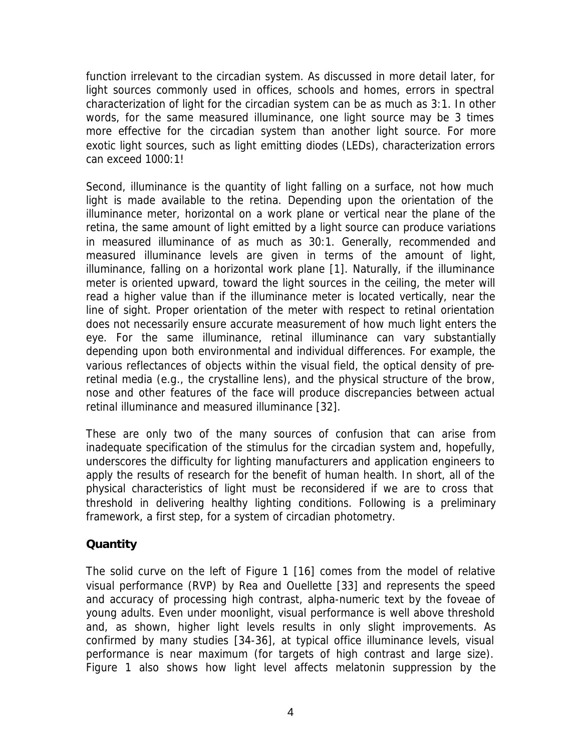function irrelevant to the circadian system. As discussed in more detail later, for light sources commonly used in offices, schools and homes, errors in spectral characterization of light for the circadian system can be as much as 3:1. In other words, for the same measured illuminance, one light source may be 3 times more effective for the circadian system than another light source. For more exotic light sources, such as light emitting diodes (LEDs), characterization errors can exceed 1000:1!

Second, illuminance is the quantity of light falling on a surface, not how much light is made available to the retina. Depending upon the orientation of the illuminance meter, horizontal on a work plane or vertical near the plane of the retina, the same amount of light emitted by a light source can produce variations in measured illuminance of as much as 30:1. Generally, recommended and measured illuminance levels are given in terms of the amount of light, illuminance, falling on a horizontal work plane [1]. Naturally, if the illuminance meter is oriented upward, toward the light sources in the ceiling, the meter will read a higher value than if the illuminance meter is located vertically, near the line of sight. Proper orientation of the meter with respect to retinal orientation does not necessarily ensure accurate measurement of how much light enters the eye. For the same illuminance, retinal illuminance can vary substantially depending upon both environmental and individual differences. For example, the various reflectances of objects within the visual field, the optical density of preretinal media (e.g., the crystalline lens), and the physical structure of the brow, nose and other features of the face will produce discrepancies between actual retinal illuminance and measured illuminance [32].

These are only two of the many sources of confusion that can arise from inadequate specification of the stimulus for the circadian system and, hopefully, underscores the difficulty for lighting manufacturers and application engineers to apply the results of research for the benefit of human health. In short, all of the physical characteristics of light must be reconsidered if we are to cross that threshold in delivering healthy lighting conditions. Following is a preliminary framework, a first step, for a system of circadian photometry.

## **Quantity**

The solid curve on the left of Figure 1 [16] comes from the model of relative visual performance (RVP) by Rea and Ouellette [33] and represents the speed and accuracy of processing high contrast, alpha-numeric text by the foveae of young adults. Even under moonlight, visual performance is well above threshold and, as shown, higher light levels results in only slight improvements. As confirmed by many studies [34-36], at typical office illuminance levels, visual performance is near maximum (for targets of high contrast and large size). Figure 1 also shows how light level affects melatonin suppression by the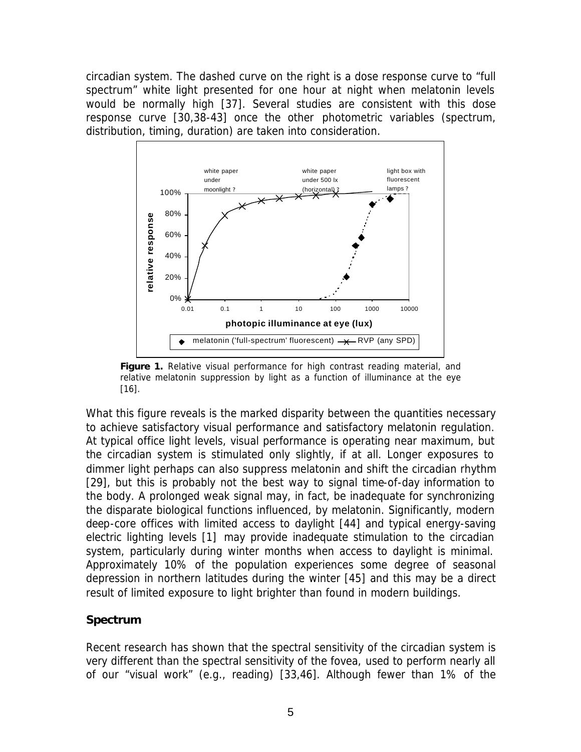circadian system. The dashed curve on the right is a dose response curve to "full spectrum" white light presented for one hour at night when melatonin levels would be normally high [37]. Several studies are consistent with this dose response curve [30,38-43] once the other photometric variables (spectrum, distribution, timing, duration) are taken into consideration.



*Figure 1. Relative visual performance for high contrast reading material, and relative melatonin suppression by light as a function of illuminance at the eye [16].*

What this figure reveals is the marked disparity between the quantities necessary to achieve satisfactory visual performance and satisfactory melatonin regulation. At typical office light levels, visual performance is operating near maximum, but the circadian system is stimulated only slightly, if at all. Longer exposures to dimmer light perhaps can also suppress melatonin and shift the circadian rhythm [29], but this is probably not the best way to signal time-of-day information to the body. A prolonged weak signal may, in fact, be inadequate for synchronizing the disparate biological functions influenced, by melatonin. Significantly, modern deep-core offices with limited access to daylight [44] and typical energy-saving electric lighting levels [1] may provide inadequate stimulation to the circadian system, particularly during winter months when access to daylight is minimal. Approximately 10% of the population experiences some degree of seasonal depression in northern latitudes during the winter [45] and this may be a direct result of limited exposure to light brighter than found in modern buildings.

## **Spectrum**

Recent research has shown that the spectral sensitivity of the circadian system is very different than the spectral sensitivity of the fovea, used to perform nearly all of our "visual work" (e.g., reading) [33,46]. Although fewer than 1% of the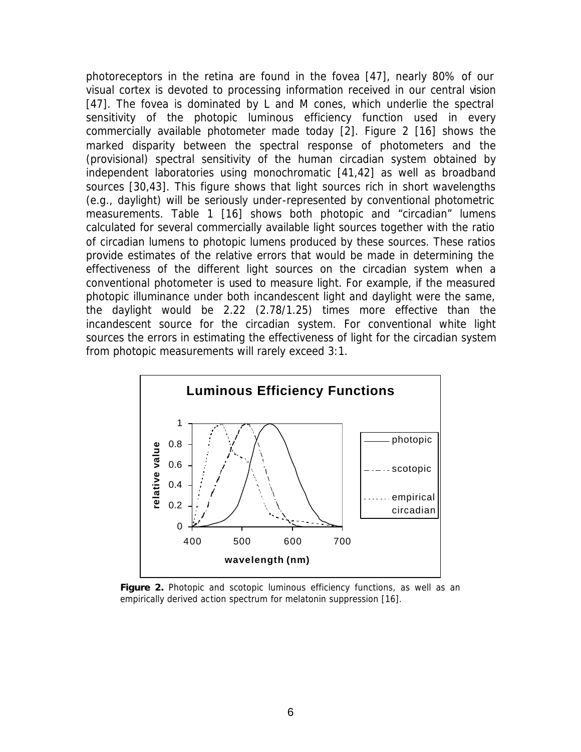photoreceptors in the retina are found in the fovea [47], nearly 80% of our visual cortex is devoted to processing information received in our central vision [47]. The fovea is dominated by L and M cones, which underlie the spectral sensitivity of the photopic luminous efficiency function used in every commercially available photometer made today [2]. Figure 2 [16] shows the marked disparity between the spectral response of photometers and the (provisional) spectral sensitivity of the human circadian system obtained by independent laboratories using monochromatic [41,42] as well as broadband sources [30,43]. This figure shows that light sources rich in short wavelengths (e.g., daylight) will be seriously under-represented by conventional photometric measurements. Table 1 [16] shows both photopic and "circadian" lumens calculated for several commercially available light sources together with the ratio of circadian lumens to photopic lumens produced by these sources. These ratios provide estimates of the relative errors that would be made in determining the effectiveness of the different light sources on the circadian system when a conventional photometer is used to measure light. For example, if the measured photopic illuminance under both incandescent light and daylight were the same, the daylight would be 2.22 (2.78/1.25) times more effective than the incandescent source for the circadian system. For conventional white light sources the errors in estimating the effectiveness of light for the circadian system from photopic measurements will rarely exceed 3:1.



*Figure 2. Photopic and scotopic luminous efficiency functions, as well as an empirically derived action spectrum for melatonin suppression [16].*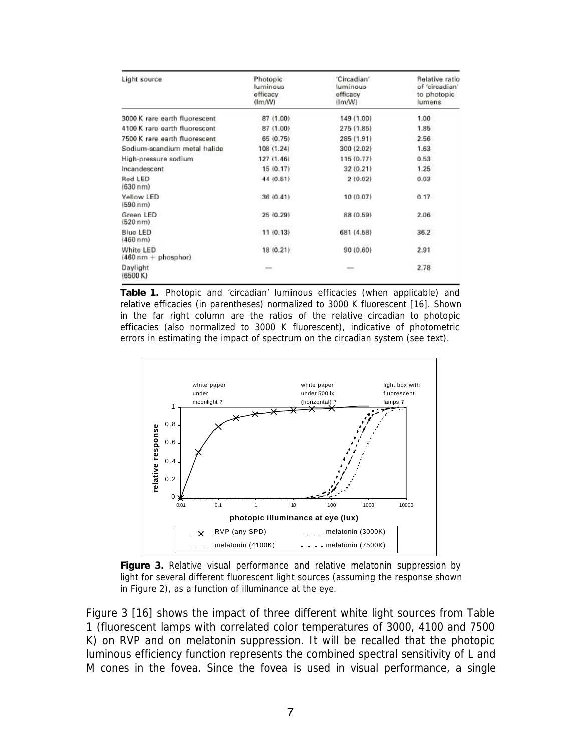| Light source                                      | Photopic<br>luminous<br>efficacy<br>$\langle \text{Im}/\text{W} \rangle$ | 'Circadian'<br>luminous<br>efficacy<br>$\{Im(W)\}$ | Relative ratio<br>of 'circadian'<br>to photopic<br>lumens |
|---------------------------------------------------|--------------------------------------------------------------------------|----------------------------------------------------|-----------------------------------------------------------|
| 3000 K rare earth fluorescent                     | 87 (1.00)                                                                | 149 (1.00)                                         | 1.00                                                      |
| 4100 K rare earth fluorescent                     | 87 (1.00)                                                                | 275 (1.85)                                         | 1.85                                                      |
| 7500 K rare earth fluorescent                     | 65 (0.75)                                                                | 285 (1.91)                                         | 2.56                                                      |
| Sodium-scandium metal halide                      | 108 (1.24)                                                               | 300 (2.02)                                         | 1.63                                                      |
| High-pressure sodium                              | 127(1.46)                                                                | 115 (0.77)                                         | 0.53                                                      |
| Incandescent                                      | 15 (0.17)                                                                | 32 (0.21)                                          | 1.25                                                      |
| <b>Red LED</b><br>(630 n m)                       | 44 (0.51)                                                                | 2 (0.02)                                           | 0.03                                                      |
| Yellow LED<br>(590 nm)                            | 36 (0.41)                                                                | 10 (0.07)                                          | 0.17                                                      |
| Green LED<br>(520 n m)                            | 25 (0.29)                                                                | 88 (0.59)                                          | 2.06                                                      |
| <b>Blue LED</b><br>(460 n m)                      | 11(0.13)                                                                 | 681 (4.58)                                         | 36.2                                                      |
| White LED<br>$(460 \text{ nm} + \text{phosphor})$ | 18 (0.21)                                                                | 90 (0.60)                                          | 2.91                                                      |
| Daylight<br>(6500 K)                              |                                                                          |                                                    | 2.78                                                      |

*Table 1. Photopic and 'circadian' luminous efficacies (when applicable) and relative efficacies (in parentheses) normalized to 3000 K fluorescent [16]. Shown in the far right column are the ratios of the relative circadian to photopic efficacies (also normalized to 3000 K fluorescent), indicative of photometric errors in estimating the impact of spectrum on the circadian system (see text).*



*Figure 3. Relative visual performance and relative melatonin suppression by*  light for several different fluorescent light sources (assuming the response shown *in Figure 2), as a function of illuminance at the eye.*

Figure 3 [16] shows the impact of three different white light sources from Table 1 (fluorescent lamps with correlated color temperatures of 3000, 4100 and 7500 K) on RVP and on melatonin suppression. It will be recalled that the photopic luminous efficiency function represents the combined spectral sensitivity of L and M cones in the fovea. Since the fovea is used in visual performance, a single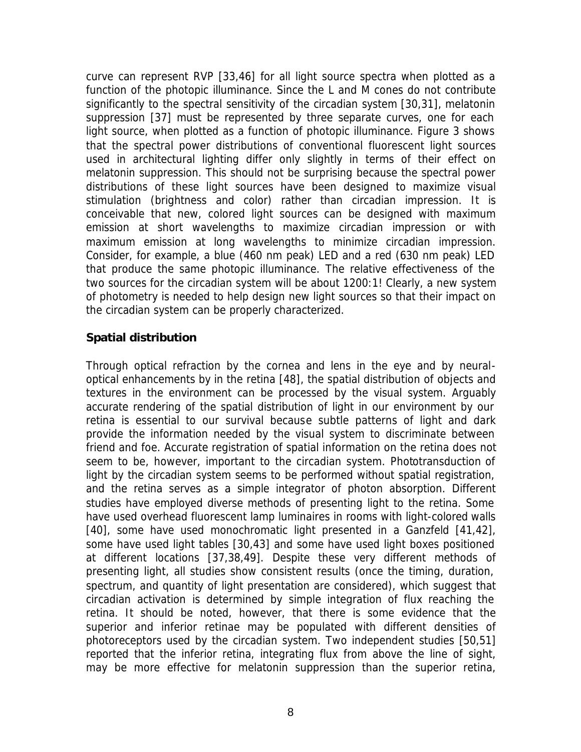curve can represent RVP [33,46] for all light source spectra when plotted as a function of the photopic illuminance. Since the L and M cones do not contribute significantly to the spectral sensitivity of the circadian system [30,31], melatonin suppression [37] must be represented by three separate curves, one for each light source, when plotted as a function of photopic illuminance. Figure 3 shows that the spectral power distributions of conventional fluorescent light sources used in architectural lighting differ only slightly in terms of their effect on melatonin suppression. This should not be surprising because the spectral power distributions of these light sources have been designed to maximize visual stimulation (brightness and color) rather than circadian impression. It is conceivable that new, colored light sources can be designed with maximum emission at short wavelengths to maximize circadian impression or with maximum emission at long wavelengths to minimize circadian impression. Consider, for example, a blue (460 nm peak) LED and a red (630 nm peak) LED that produce the same photopic illuminance. The relative effectiveness of the two sources for the circadian system will be about 1200:1! Clearly, a new system of photometry is needed to help design new light sources so that their impact on the circadian system can be properly characterized.

#### **Spatial distribution**

Through optical refraction by the cornea and lens in the eye and by neuraloptical enhancements by in the retina [48], the spatial distribution of objects and textures in the environment can be processed by the visual system. Arguably accurate rendering of the spatial distribution of light in our environment by our retina is essential to our survival because subtle patterns of light and dark provide the information needed by the visual system to discriminate between friend and foe. Accurate registration of spatial information on the retina does not seem to be, however, important to the circadian system. Phototransduction of light by the circadian system seems to be performed without spatial registration, and the retina serves as a simple integrator of photon absorption. Different studies have employed diverse methods of presenting light to the retina. Some have used overhead fluorescent lamp luminaires in rooms with light-colored walls [40], some have used monochromatic light presented in a Ganzfeld [41,42], some have used light tables [30,43] and some have used light boxes positioned at different locations [37,38,49]. Despite these very different methods of presenting light, all studies show consistent results (once the timing, duration, spectrum, and quantity of light presentation are considered), which suggest that circadian activation is determined by simple integration of flux reaching the retina. It should be noted, however, that there is some evidence that the superior and inferior retinae may be populated with different densities of photoreceptors used by the circadian system. Two independent studies [50,51] reported that the inferior retina, integrating flux from above the line of sight, may be more effective for melatonin suppression than the superior retina,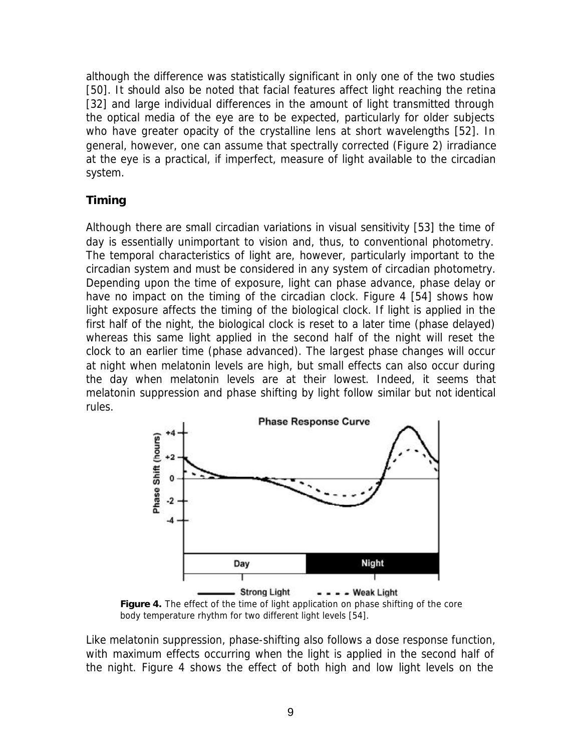although the difference was statistically significant in only one of the two studies [50]. It should also be noted that facial features affect light reaching the retina [32] and large individual differences in the amount of light transmitted through the optical media of the eye are to be expected, particularly for older subjects who have greater opacity of the crystalline lens at short wavelengths [52]. In general, however, one can assume that spectrally corrected (Figure 2) irradiance at the eye is a practical, if imperfect, measure of light available to the circadian system.

## **Timing**

Although there are small circadian variations in visual sensitivity [53] the time of day is essentially unimportant to vision and, thus, to conventional photometry. The temporal characteristics of light are, however, particularly important to the circadian system and must be considered in any system of circadian photometry. Depending upon the time of exposure, light can phase advance, phase delay or have no impact on the timing of the circadian clock. Figure 4 [54] shows how light exposure affects the timing of the biological clock. If light is applied in the first half of the night, the biological clock is reset to a later time (phase delayed) whereas this same light applied in the second half of the night will reset the clock to an earlier time (phase advanced). The largest phase changes will occur at night when melatonin levels are high, but small effects can also occur during the day when melatonin levels are at their lowest. Indeed, it seems that melatonin suppression and phase shifting by light follow similar but not identical rules.



*Figure 4. The effect of the time of light application on phase shifting of the core body temperature rhythm for two different light levels [54].*

Like melatonin suppression, phase-shifting also follows a dose response function, with maximum effects occurring when the light is applied in the second half of the night. Figure 4 shows the effect of both high and low light levels on the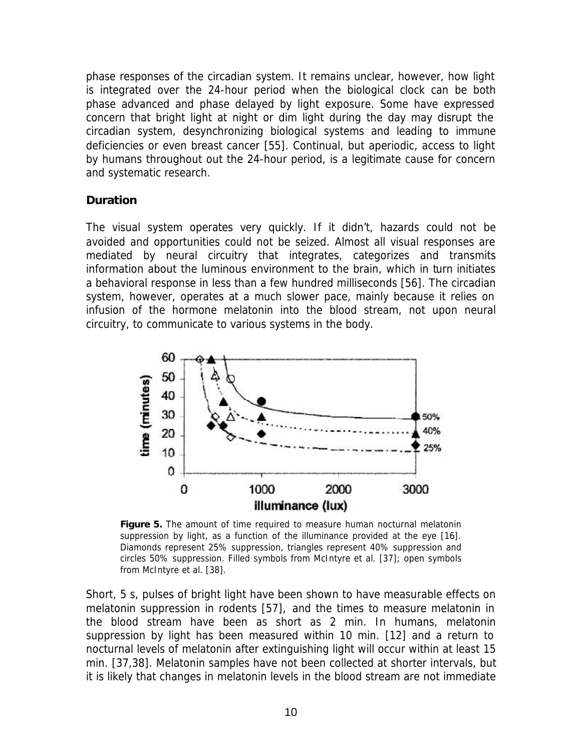phase responses of the circadian system. It remains unclear, however, how light is integrated over the 24-hour period when the biological clock can be both phase advanced and phase delayed by light exposure. Some have expressed concern that bright light at night or dim light during the day may disrupt the circadian system, desynchronizing biological systems and leading to immune deficiencies or even breast cancer [55]. Continual, but aperiodic, access to light by humans throughout out the 24-hour period, is a legitimate cause for concern and systematic research.

## **Duration**

The visual system operates very quickly. If it didn't, hazards could not be avoided and opportunities could not be seized. Almost all visual responses are mediated by neural circuitry that integrates, categorizes and transmits information about the luminous environment to the brain, which in turn initiates a behavioral response in less than a few hundred milliseconds [56]. The circadian system, however, operates at a much slower pace, mainly because it relies on infusion of the hormone melatonin into the blood stream, not upon neural circuitry, to communicate to various systems in the body.



*Figure 5. The amount of time required to measure human nocturnal melatonin suppression by light, as a function of the illuminance provided at the eye [16]. Diamonds represent 25% suppression, triangles represent 40% suppression and circles 50% suppression. Filled symbols from McIntyre et al. [37]; open symbols from McIntyre et al. [38].*

Short, 5 s, pulses of bright light have been shown to have measurable effects on melatonin suppression in rodents [57], and the times to measure melatonin in the blood stream have been as short as 2 min. In humans, melatonin suppression by light has been measured within 10 min. [12] and a return to nocturnal levels of melatonin after extinguishing light will occur within at least 15 min. [37,38]. Melatonin samples have not been collected at shorter intervals, but it is likely that changes in melatonin levels in the blood stream are not immediate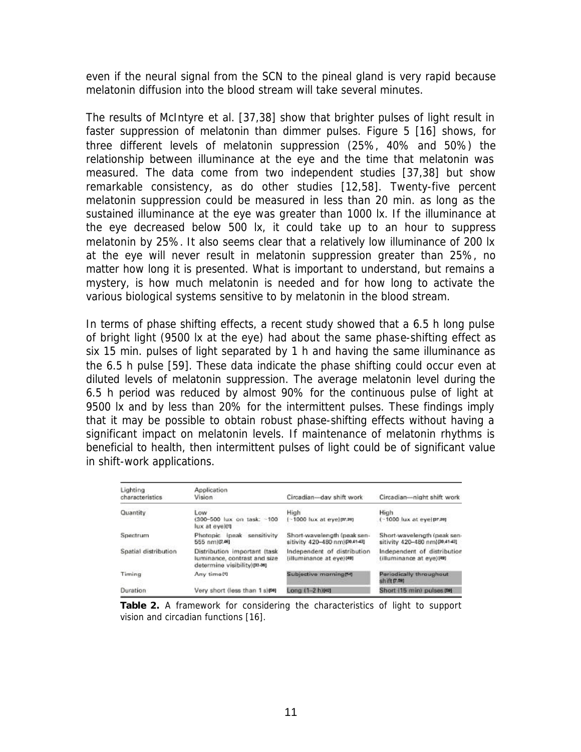even if the neural signal from the SCN to the pineal gland is very rapid because melatonin diffusion into the blood stream will take several minutes.

The results of McIntyre *et al.* [37,38] show that brighter pulses of light result in faster suppression of melatonin than dimmer pulses. Figure 5 [16] shows, for three different levels of melatonin suppression (25%, 40% and 50%) the relationship between illuminance at the eye and the time that melatonin was measured. The data come from two independent studies [37,38] but show remarkable consistency, as do other studies [12,58]. Twenty-five percent melatonin suppression could be measured in less than 20 min. as long as the sustained illuminance at the eye was greater than 1000 lx. If the illuminance at the eye decreased below 500 lx, it could take up to an hour to suppress melatonin by 25%. It also seems clear that a relatively low illuminance of 200 lx at the eye will never result in melatonin suppression greater than 25%, no matter how long it is presented. What is important to understand, but remains a mystery, is how much melatonin is needed and for how long to activate the various biological systems sensitive to by melatonin in the blood stream.

In terms of phase shifting effects, a recent study showed that a 6.5 h long pulse of bright light (9500 lx at the eye) had about the same phase-shifting effect as six 15 min. pulses of light separated by 1 h and having the same illuminance as the 6.5 h pulse [59]. These data indicate the phase shifting could occur even at diluted levels of melatonin suppression. The average melatonin level during the 6.5 h period was reduced by almost 90% for the continuous pulse of light at 9500 lx and by less than 20% for the intermittent pulses. These findings imply that it may be possible to obtain robust phase-shifting effects without having a significant impact on melatonin levels. If maintenance of melatonin rhythms is beneficial to health, then intermittent pulses of light could be of significant value in shift-work applications.

| Lighting<br>characteristics | Application<br>Vision                                                                        | Circadian-day shift work                                      | Circadian-night shift work                                    |
|-----------------------------|----------------------------------------------------------------------------------------------|---------------------------------------------------------------|---------------------------------------------------------------|
| Quantity                    | Lowy<br>(300-500 lux on task: ~100<br>mieve is xul                                           | High<br>$[-1000$ lux at eye) $[37,30]$                        | High<br>(~1000 lux at eye) pr.20]                             |
| Spectrum                    | Photopic (peak sensitivity)<br>555 nm)(2.46)                                                 | Short-wavelength (peak sen-<br>sitivity 420-480 nm)[20.41-43] | Short-wavelength (peak sen-<br>sitivity 420-480 nm) [30,4143] |
| Spatial distribution        | Distribution important (task<br>luminance, contrast and size<br>determine visibility)[33-36] | Independent of distribution<br>filluminance at eve)[49]       | Independent of distribution<br>(illuminance at eve)[49]       |
| Timing                      | Any time <sup>[1]</sup>                                                                      | Subjective morning@4                                          | Periodically throughout<br>shift (7.4%)                       |
| Duration                    | Very short (less than 1 s)[66]                                                               | Long (1-2 h)[40]                                              | Short (15 min) pulses (60)                                    |

*Table 2. A framework for considering the characteristics of light to support vision and circadian functions [16].*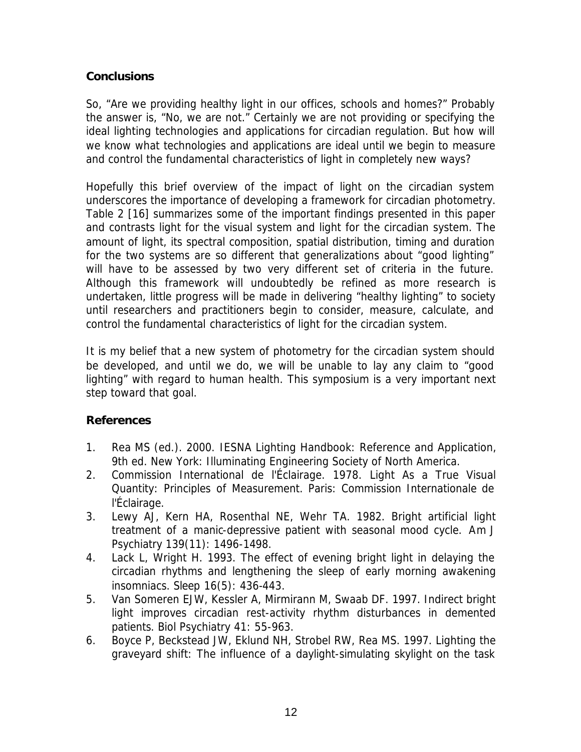## **Conclusions**

So, "Are we providing healthy light in our offices, schools and homes?" Probably the answer is, "No, we are not." Certainly we are not providing or specifying the ideal lighting technologies and applications for circadian regulation. But how will we know what technologies and applications are ideal until we begin to measure and control the fundamental characteristics of light in completely new ways?

Hopefully this brief overview of the impact of light on the circadian system underscores the importance of developing a framework for circadian photometry. Table 2 [16] summarizes some of the important findings presented in this paper and contrasts light for the visual system and light for the circadian system. The amount of light, its spectral composition, spatial distribution, timing and duration for the two systems are so different that generalizations about "good lighting" will have to be assessed by two very different set of criteria in the future. Although this framework will undoubtedly be refined as more research is undertaken, little progress will be made in delivering "healthy lighting" to society until researchers and practitioners begin to consider, measure, calculate, and control the fundamental characteristics of light for the circadian system.

It is my belief that a new system of photometry for the circadian system should be developed, and until we do, we will be unable to lay any claim to "good lighting" with regard to human health. This symposium is a very important next step toward that goal.

## **References**

- 1. Rea MS (ed.). 2000. *IESNA Lighting Handbook: Reference and Application*, 9th ed. New York: Illuminating Engineering Society of North America.
- 2. Commission International de l'Éclairage. 1978. *Light As a True Visual Quantity: Principles of Measurement.* Paris: Commission Internationale de l'Éclairage.
- 3. Lewy AJ, Kern HA, Rosenthal NE, Wehr TA. 1982. Bright artificial light treatment of a manic-depressive patient with seasonal mood cycle. *Am J Psychiatry* 139(11): 1496-1498.
- 4. Lack L, Wright H. 1993. The effect of evening bright light in delaying the circadian rhythms and lengthening the sleep of early morning awakening insomniacs. *Sleep* 16(5): 436-443.
- 5. Van Someren EJW, Kessler A, Mirmirann M, Swaab DF. 1997. Indirect bright light improves circadian rest-activity rhythm disturbances in demented patients. *Biol Psychiatry* 41: 55-963.
- 6. Boyce P, Beckstead JW, Eklund NH, Strobel RW, Rea MS. 1997. Lighting the graveyard shift: The influence of a daylight-simulating skylight on the task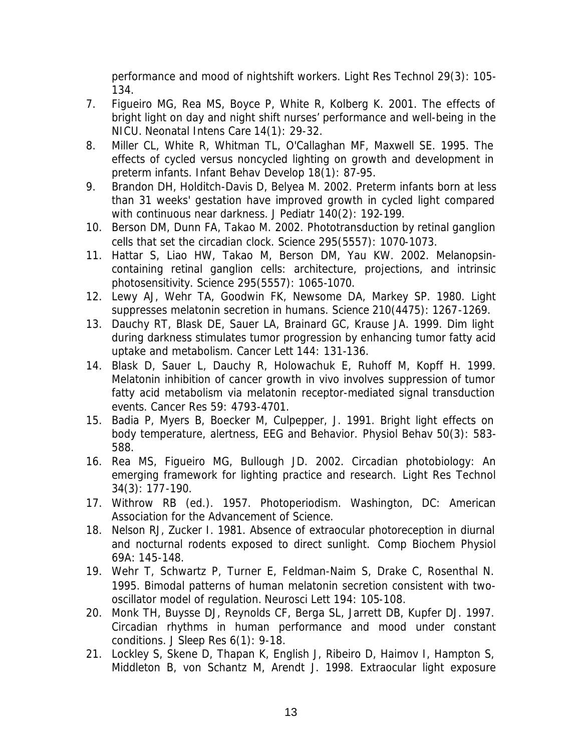performance and mood of nightshift workers. *Light Res Technol* 29(3): 105- 134.

- 7. Figueiro MG, Rea MS, Boyce P, White R, Kolberg K. 2001. The effects of bright light on day and night shift nurses' performance and well-being in the NICU. *Neonatal Intens Care* 14(1): 29-32.
- 8. Miller CL, White R, Whitman TL, O'Callaghan MF, Maxwell SE. 1995. The effects of cycled versus noncycled lighting on growth and development in preterm infants. *Infant Behav Develop* 18(1): 87-95.
- 9. Brandon DH, Holditch-Davis D, Belyea M. 2002. Preterm infants born at less than 31 weeks' gestation have improved growth in cycled light compared with continuous near darkness. *J Pediatr* 140(2): 192-199.
- 10. Berson DM, Dunn FA, Takao M. 2002. Phototransduction by retinal ganglion cells that set the circadian clock. *Science* 295(5557): 1070-1073.
- 11. Hattar S, Liao HW, Takao M, Berson DM, Yau KW. 2002. Melanopsincontaining retinal ganglion cells: architecture, projections, and intrinsic photosensitivity. *Science* 295(5557): 1065-1070.
- 12. Lewy AJ, Wehr TA, Goodwin FK, Newsome DA, Markey SP. 1980. Light suppresses melatonin secretion in humans. *Science* 210(4475): 1267-1269.
- 13. Dauchy RT, Blask DE, Sauer LA, Brainard GC, Krause JA. 1999. Dim light during darkness stimulates tumor progression by enhancing tumor fatty acid uptake and metabolism. *Cancer Lett* 144: 131-136.
- 14. Blask D, Sauer L, Dauchy R, Holowachuk E, Ruhoff M, Kopff H. 1999. Melatonin inhibition of cancer growth in vivo involves suppression of tumor fatty acid metabolism via melatonin receptor-mediated signal transduction events. *Cancer Res* 59: 4793-4701.
- 15. Badia P, Myers B, Boecker M, Culpepper, J. 1991. Bright light effects on body temperature, alertness, EEG and Behavior. *Physiol Behav* 50(3): 583- 588.
- 16. Rea MS, Figueiro MG, Bullough JD. 2002. Circadian photobiology: An emerging framework for lighting practice and research. *Light Res Technol* 34(3): 177-190.
- 17. Withrow RB (ed.). 1957. *Photoperiodism.* Washington, DC: American Association for the Advancement of Science.
- 18. Nelson RJ, Zucker I. 1981. Absence of extraocular photoreception in diurnal and nocturnal rodents exposed to direct sunlight. *Comp Biochem Physiol* 69A: 145-148.
- 19. Wehr T, Schwartz P, Turner E, Feldman-Naim S, Drake C, Rosenthal N. 1995. Bimodal patterns of human melatonin secretion consistent with twooscillator model of regulation. *Neurosci Lett* 194: 105-108.
- 20. Monk TH, Buysse DJ, Reynolds CF, Berga SL, Jarrett DB, Kupfer DJ. 1997. Circadian rhythms in human performance and mood under constant conditions. *J Sleep Res* 6(1): 9-18.
- 21. Lockley S, Skene D, Thapan K, English J, Ribeiro D, Haimov I, Hampton S, Middleton B, von Schantz M, Arendt J. 1998. Extraocular light exposure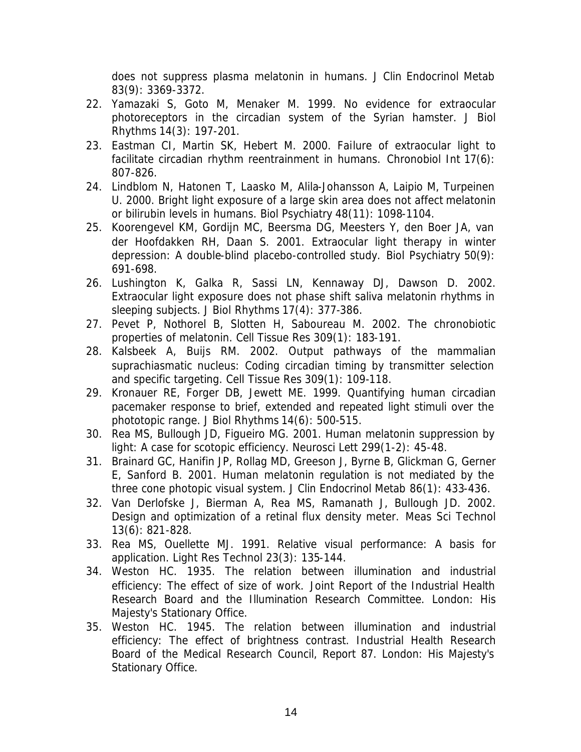does not suppress plasma melatonin in humans. *J Clin Endocrinol Metab*  83(9): 3369-3372.

- 22. Yamazaki S, Goto M, Menaker M. 1999. No evidence for extraocular photoreceptors in the circadian system of the Syrian hamster. *J Biol Rhythms* 14(3): 197-201.
- 23. Eastman CI, Martin SK, Hebert M. 2000. Failure of extraocular light to facilitate circadian rhythm reentrainment in humans. *Chronobiol Int* 17(6): 807-826.
- 24. Lindblom N, Hatonen T, Laasko M, Alila-Johansson A, Laipio M, Turpeinen U. 2000. Bright light exposure of a large skin area does not affect melatonin or bilirubin levels in humans. *Biol Psychiatry* 48(11): 1098-1104.
- 25. Koorengevel KM, Gordijn MC, Beersma DG, Meesters Y, den Boer JA, van der Hoofdakken RH, Daan S. 2001. Extraocular light therapy in winter depression: A double-blind placebo-controlled study. *Biol Psychiatry* 50(9): 691-698.
- 26. Lushington K, Galka R, Sassi LN, Kennaway DJ, Dawson D. 2002. Extraocular light exposure does not phase shift saliva melatonin rhythms in sleeping subjects. *J Biol Rhythms* 17(4): 377-386.
- 27. Pevet P, Nothorel B, Slotten H, Saboureau M. 2002. The chronobiotic properties of melatonin. *Cell Tissue Res* 309(1): 183-191.
- 28. Kalsbeek A, Buijs RM. 2002. Output pathways of the mammalian suprachiasmatic nucleus: Coding circadian timing by transmitter selection and specific targeting. *Cell Tissue Res* 309(1): 109-118.
- 29. Kronauer RE, Forger DB, Jewett ME. 1999. Quantifying human circadian pacemaker response to brief, extended and repeated light stimuli over the phototopic range. *J Biol Rhythms* 14(6): 500-515.
- 30. Rea MS, Bullough JD, Figueiro MG. 2001. Human melatonin suppression by light: A case for scotopic efficiency. *Neurosci Lett* 299(1-2): 45-48.
- 31. Brainard GC, Hanifin JP, Rollag MD, Greeson J, Byrne B, Glickman G, Gerner E, Sanford B. 2001. Human melatonin regulation is not mediated by the three cone photopic visual system. *J Clin Endocrinol Metab* 86(1): 433-436.
- 32. Van Derlofske J, Bierman A, Rea MS, Ramanath J, Bullough JD. 2002. Design and optimization of a retinal flux density meter. *Meas Sci Technol* 13(6): 821-828.
- 33. Rea MS, Ouellette MJ. 1991. Relative visual performance: A basis for application. *Light Res Technol* 23(3): 135-144.
- 34. Weston HC. 1935. The relation between illumination and industrial efficiency: The effect of size of work. *Joint Report of the Industrial Health Research Board and the Illumination Research Committee.* London: His Majesty's Stationary Office.
- 35. Weston HC. 1945. The relation between illumination and industrial efficiency: The effect of brightness contrast. *Industrial Health Research Board of the Medical Research Council,* Report 87. London: His Majesty's Stationary Office.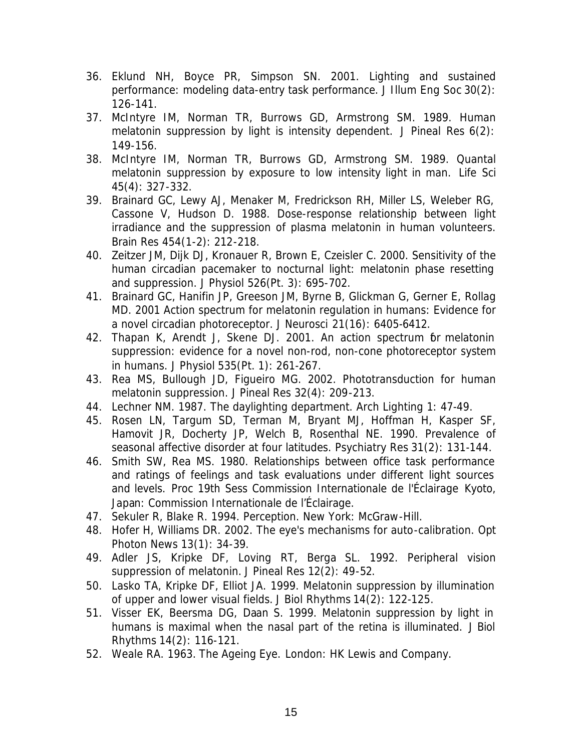- 36. Eklund NH, Boyce PR, Simpson SN. 2001. Lighting and sustained performance: modeling data-entry task performance. *J Illum Eng Soc* 30(2): 126-141.
- 37. McIntyre IM, Norman TR, Burrows GD, Armstrong SM. 1989. Human melatonin suppression by light is intensity dependent. *J Pineal Res* 6(2): 149-156.
- 38. McIntyre IM, Norman TR, Burrows GD, Armstrong SM. 1989. Quantal melatonin suppression by exposure to low intensity light in man. *Life Sci* 45(4): 327-332.
- 39. Brainard GC, Lewy AJ, Menaker M, Fredrickson RH, Miller LS, Weleber RG, Cassone V, Hudson D. 1988. Dose-response relationship between light irradiance and the suppression of plasma melatonin in human volunteers. *Brain Res* 454(1-2): 212-218.
- 40. Zeitzer JM, Dijk DJ, Kronauer R, Brown E, Czeisler C. 2000. Sensitivity of the human circadian pacemaker to nocturnal light: melatonin phase resetting and suppression. *J Physiol* 526(Pt. 3): 695-702.
- 41. Brainard GC, Hanifin JP, Greeson JM, Byrne B, Glickman G, Gerner E, Rollag MD. 2001 Action spectrum for melatonin regulation in humans: Evidence for a novel circadian photoreceptor. *J Neurosci* 21(16): 6405-6412.
- 42. Thapan K, Arendt J, Skene DJ. 2001. An action spectrum for melatonin suppression: evidence for a novel non-rod, non-cone photoreceptor system in humans. *J Physiol* 535(Pt. 1): 261-267.
- 43. Rea MS, Bullough JD, Figueiro MG. 2002. Phototransduction for human melatonin suppression. *J Pineal Res* 32(4): 209-213.
- 44. Lechner NM. 1987. The daylighting department. *Arch Lighting* 1: 47-49.
- 45. Rosen LN, Targum SD, Terman M, Bryant MJ, Hoffman H, Kasper SF, Hamovit JR, Docherty JP, Welch B, Rosenthal NE. 1990. Prevalence of seasonal affective disorder at four latitudes. *Psychiatry Res* 31(2): 131-144.
- 46. Smith SW, Rea MS. 1980. Relationships between office task performance and ratings of feelings and task evaluations under different light sources and levels. *Proc 19th Sess Commission Internationale de l'Éclairage* Kyoto, Japan: Commission Internationale de l'Éclairage.
- 47. Sekuler R, Blake R. 1994. *Perception.* New York: McGraw-Hill.
- 48. Hofer H, Williams DR. 2002. The eye's mechanisms for auto-calibration. *Opt Photon News* 13(1): 34-39.
- 49. Adler JS, Kripke DF, Loving RT, Berga SL. 1992. Peripheral vision suppression of melatonin. *J Pineal Res* 12(2): 49-52.
- 50. Lasko TA, Kripke DF, Elliot JA. 1999. Melatonin suppression by illumination of upper and lower visual fields. *J Biol Rhythms* 14(2): 122-125.
- 51. Visser EK, Beersma DG, Daan S. 1999. Melatonin suppression by light in humans is maximal when the nasal part of the retina is illuminated. *J Biol Rhythms* 14(2): 116-121.
- 52. Weale RA. 1963. *The Ageing Eye.* London: HK Lewis and Company.